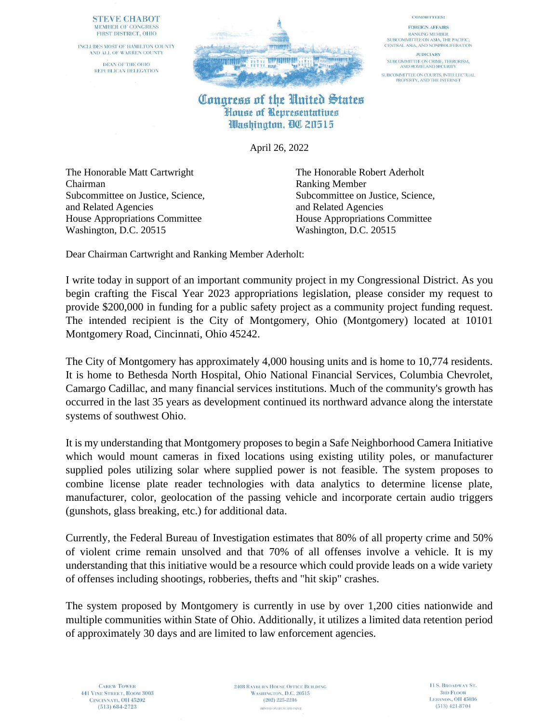## **STEVE CHABOT** MEMBER OF CONGRESS FIRST DISTRICT, OHIO

INCLUDES MOST OF HAMILTON COUNTY AND ALL OF WARREN COUNTY DEAN OF THE OHIO REPUBLICAN DELEGATION



## **COMMITTEES:**

**FOREIGN AFFAIRS RANKING MEMBER** SUBCOMMITTEE ON ASIA, THE PACIFIC, CENTRAL ASIA, AND NONPROLIFERATION

**JUDICIARY** SUBCOMMITTEE ON CRIME, TERRORISM,<br>AND HOMELAND SECURITY SUBCOMMITTEE ON COURTS, INTELLECTUAL PROPERTY, AND THE INTERNET

## Congress of the United States House of Representatives Washington, QO 20515

April 26, 2022

The Honorable Matt Cartwright The Honorable Robert Aderholt Chairman Ranking Member and Related Agencies and Related Agencies House Appropriations Committee House Appropriations Committee Washington, D.C. 20515 Washington, D.C. 20515

Subcommittee on Justice, Science, Subcommittee on Justice, Science,

Dear Chairman Cartwright and Ranking Member Aderholt:

I write today in support of an important community project in my Congressional District. As you begin crafting the Fiscal Year 2023 appropriations legislation, please consider my request to provide \$200,000 in funding for a public safety project as a community project funding request. The intended recipient is the City of Montgomery, Ohio (Montgomery) located at 10101 Montgomery Road, Cincinnati, Ohio 45242.

The City of Montgomery has approximately 4,000 housing units and is home to 10,774 residents. It is home to Bethesda North Hospital, Ohio National Financial Services, Columbia Chevrolet, Camargo Cadillac, and many financial services institutions. Much of the community's growth has occurred in the last 35 years as development continued its northward advance along the interstate systems of southwest Ohio.

It is my understanding that Montgomery proposes to begin a Safe Neighborhood Camera Initiative which would mount cameras in fixed locations using existing utility poles, or manufacturer supplied poles utilizing solar where supplied power is not feasible. The system proposes to combine license plate reader technologies with data analytics to determine license plate, manufacturer, color, geolocation of the passing vehicle and incorporate certain audio triggers (gunshots, glass breaking, etc.) for additional data.

Currently, the Federal Bureau of Investigation estimates that 80% of all property crime and 50% of violent crime remain unsolved and that 70% of all offenses involve a vehicle. It is my understanding that this initiative would be a resource which could provide leads on a wide variety of offenses including shootings, robberies, thefts and "hit skip" crashes.

The system proposed by Montgomery is currently in use by over 1,200 cities nationwide and multiple communities within State of Ohio. Additionally, it utilizes a limited data retention period of approximately 30 days and are limited to law enforcement agencies.

**2408 RAYBURN HOUSE OFFICE BUILDING** WASHINGTON, D.C. 20515  $(202)$  225-2216 PRINTED ON RECYCLED PAPER.

11 S. BROADWAY ST. **3RD FLOOR** LEBANON, OH 45036  $(513)$  421-8704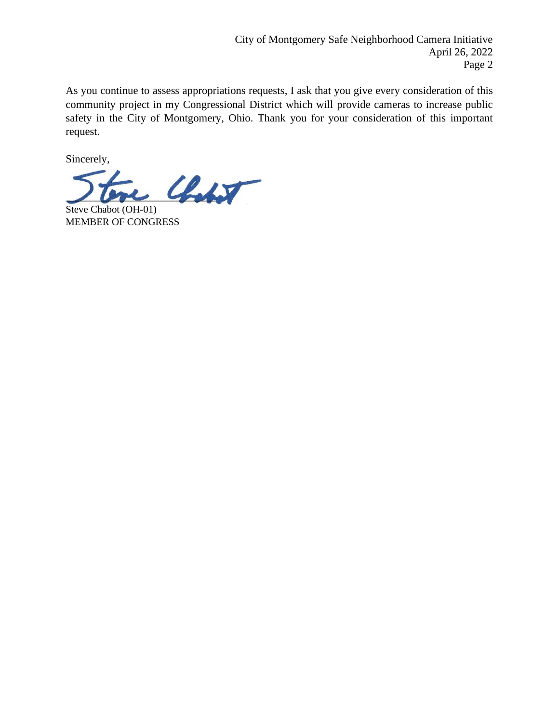As you continue to assess appropriations requests, I ask that you give every consideration of this community project in my Congressional District which will provide cameras to increase public safety in the City of Montgomery, Ohio. Thank you for your consideration of this important request.

Sincerely,

 $\mathcal{L}_{\text{other}}$ 

Steve Chabot (OH-01) MEMBER OF CONGRESS